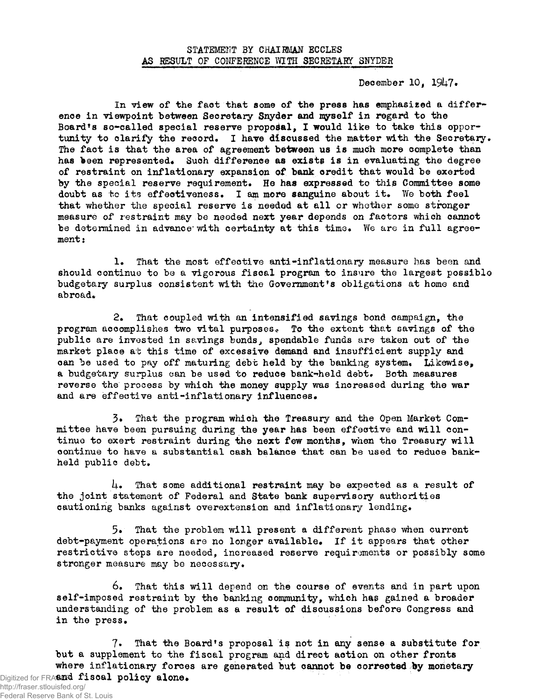December 10, 1947.

In view of the fact that some of the press has emphasized a difference in viewpoint between Secretary Snyder and myself in regard to the Board's so-called special reserve proposal, I would like to take this opportunity to clarify the record. I have discussed the matter with the Secretary. The fact is that the area of agreement between us is much more complete than has been represented. Such difference as exists is in evaluating the degree of restraint on inflationary expansion of bank credit that would be exerted by the special reserve requirement. He has expressed to this Committee some doubt as to its effectiveness. I am more sanguine about it. We both feel that whether the special reserve is needed at all or whether some stronger measure of restraint may be needed next year depends on factors which cannot be determined in advance with certainty at this time. We are in full agreement:

1. That the most effective anti-inflationary measure has been and should continue to be a vigorous fiscal program to insure the largest possible budgetary surplus consistent with the Government's obligations at home and abroad.

2. That coupled with an intensified savings bond campaign, the program accomplishes two vital purposes«. To the extent that savings of the public are invested in savings bonds., spendable funds are taken out of the market place at this time of excessive demand and insufficient supply and can "be used to pay off maturing debt held by the banking system. Likewise, a budgetary surplus can be used to reduce bank-held debt. Both measures reverse the process by which the money supply was increased during the war and are effective anti-inflationary influences.

3. That the program which the Treasury and the Open Market Committee have been pursuing during the year has been effective and will continue to exert restraint during the next few months, when the Treasury will continue to have a substantial cash balance that can be used to reduce bankheld public debt.

 $\mu_{\bullet}$  That some additional restraint may be expected as a result of the joint statement of Federal and State bank supervisory authorities cautioning banks against overextension and inflationary lending.

5. That the problem will present a different phase when current debt-payment operations are no longer available. If it appears that other restrictive steps are needed, increased reserve requirements or possibly some stronger measure may be necessary.

6. That this will depend on the course of events and in part upon self-imposed restraint by the banking community, which has gained a broader understanding of the problem as a result of discussions before Congress and in the press.

 $7.$  That the Board's proposal is not in any sense a substitute for but a supplement to the fiscal program and direct action on other fronts where inflationary forces are generated but cannot be corrected by monetary Digitized for FRASER fiscal policy alone.